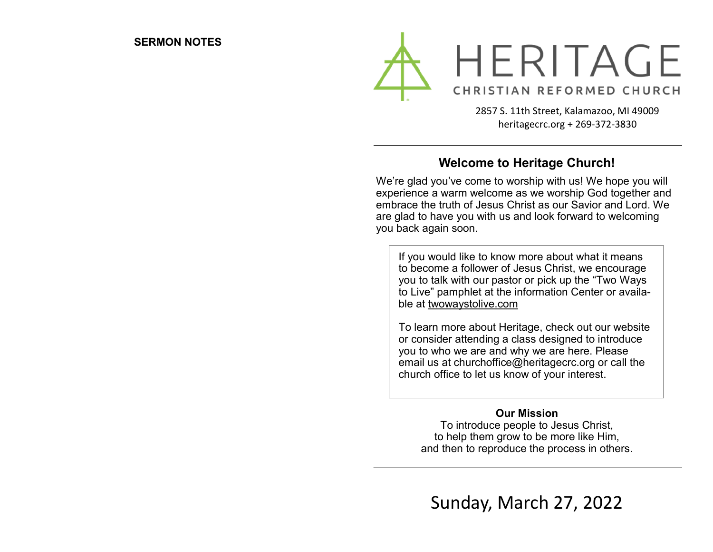

2857 S. 11th Street, Kalamazoo, MI 49009 heritagecrc.org + 269-372-3830

### **Welcome to Heritage Church!**

We're glad you've come to worship with us! We hope you will experience a warm welcome as we worship God together and embrace the truth of Jesus Christ as our Savior and Lord. We are glad to have you with us and look forward to welcoming you back again soon.

If you would like to know more about what it means to become a follower of Jesus Christ, we encourage you to talk with our pastor or pick up the "Two Ways to Live" pamphlet at the information Center or available at twowaystolive.com

To learn more about Heritage, check out our website or consider attending a class designed to introduce you to who we are and why we are here. Please email us at churchoffice@heritagecrc.org or call the church office to let us know of your interest.

#### **Our Mission**

To introduce people to Jesus Christ, to help them grow to be more like Him, and then to reproduce the process in others.

Sunday, March 27, 2022